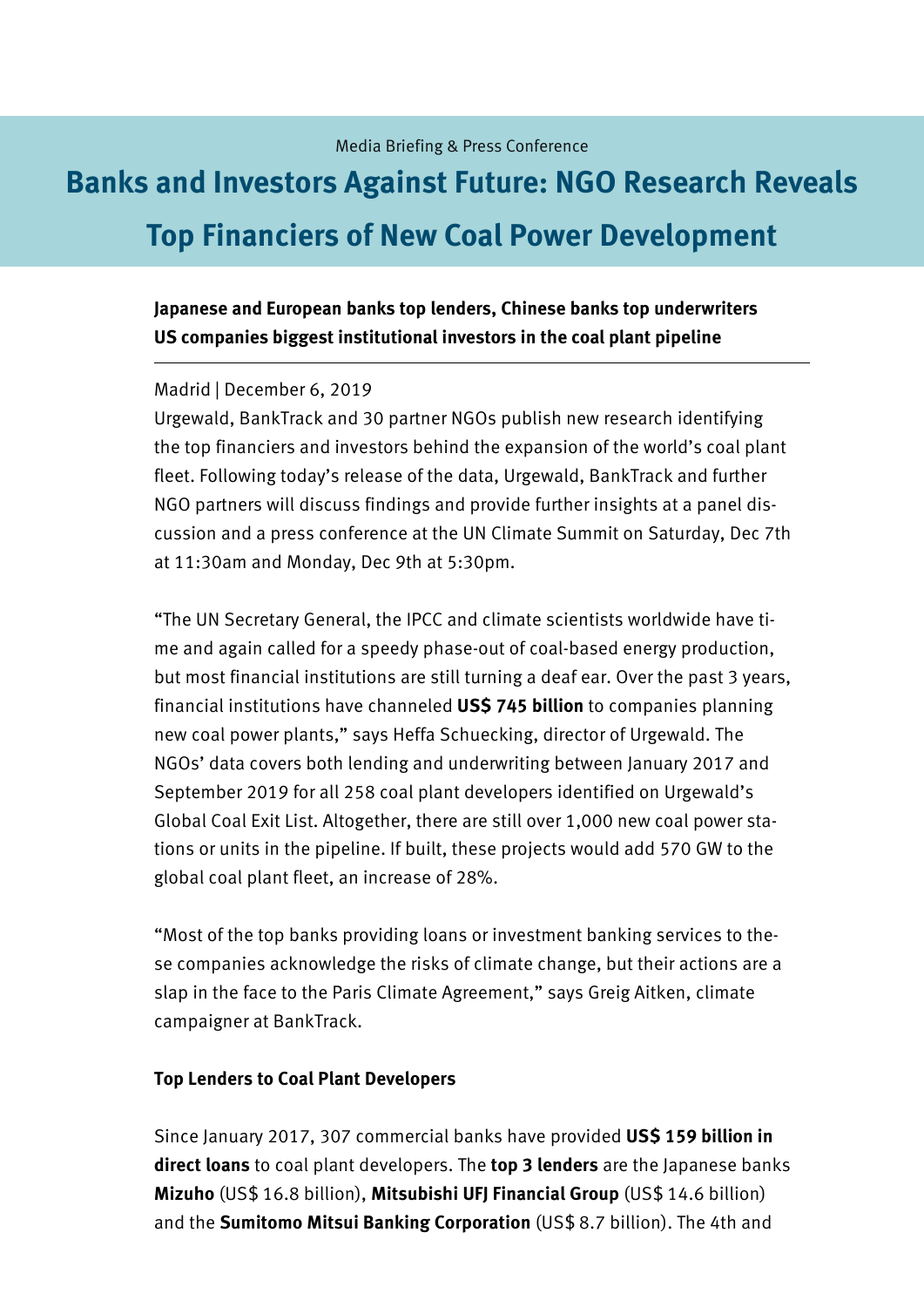# **Banks and Investors Against Future: NGO Research Reveals Top Financiers of New Coal Power Development**

# **Japanese and European banks top lenders, Chinese banks top underwriters US companies biggest institutional investors in the coal plant pipeline**

#### Madrid | December 6, 2019

Urgewald, BankTrack and 30 partner NGOs publish new research identifying the top financiers and investors behind the expansion of the world's coal plant fleet. Following today's release of the data, Urgewald, BankTrack and further NGO partners will discuss findings and provide further insights at a panel discussion and a press conference at the UN Climate Summit on Saturday, Dec 7th at 11:30am and Monday, Dec 9th at 5:30pm.

"The UN Secretary General, the IPCC and climate scientists worldwide have time and again called for a speedy phase-out of coal-based energy production, but most financial institutions are still turning a deaf ear. Over the past 3 years, financial institutions have channeled **US\$ 745 billion** to companies planning new coal power plants," says Heffa Schuecking, director of Urgewald. The NGOs' data covers both lending and underwriting between January 2017 and September 2019 for all 258 coal plant developers identified on Urgewald's Global Coal Exit List. Altogether, there are still over 1,000 new coal power stations or units in the pipeline. If built, these projects would add 570 GW to the global coal plant fleet, an increase of 28%.

"Most of the top banks providing loans or investment banking services to these companies acknowledge the risks of climate change, but their actions are a slap in the face to the Paris Climate Agreement," says Greig Aitken, climate campaigner at BankTrack.

### **Top Lenders to Coal Plant Developers**

Since January 2017, 307 commercial banks have provided **US\$ 159 billion in direct loans** to coal plant developers. The **top 3 lenders** are the Japanese banks **Mizuho** (US\$ 16.8 billion), **Mitsubishi UFJ Financial Group** (US\$ 14.6 billion) and the **Sumitomo Mitsui Banking Corporation** (US\$ 8.7 billion). The 4th and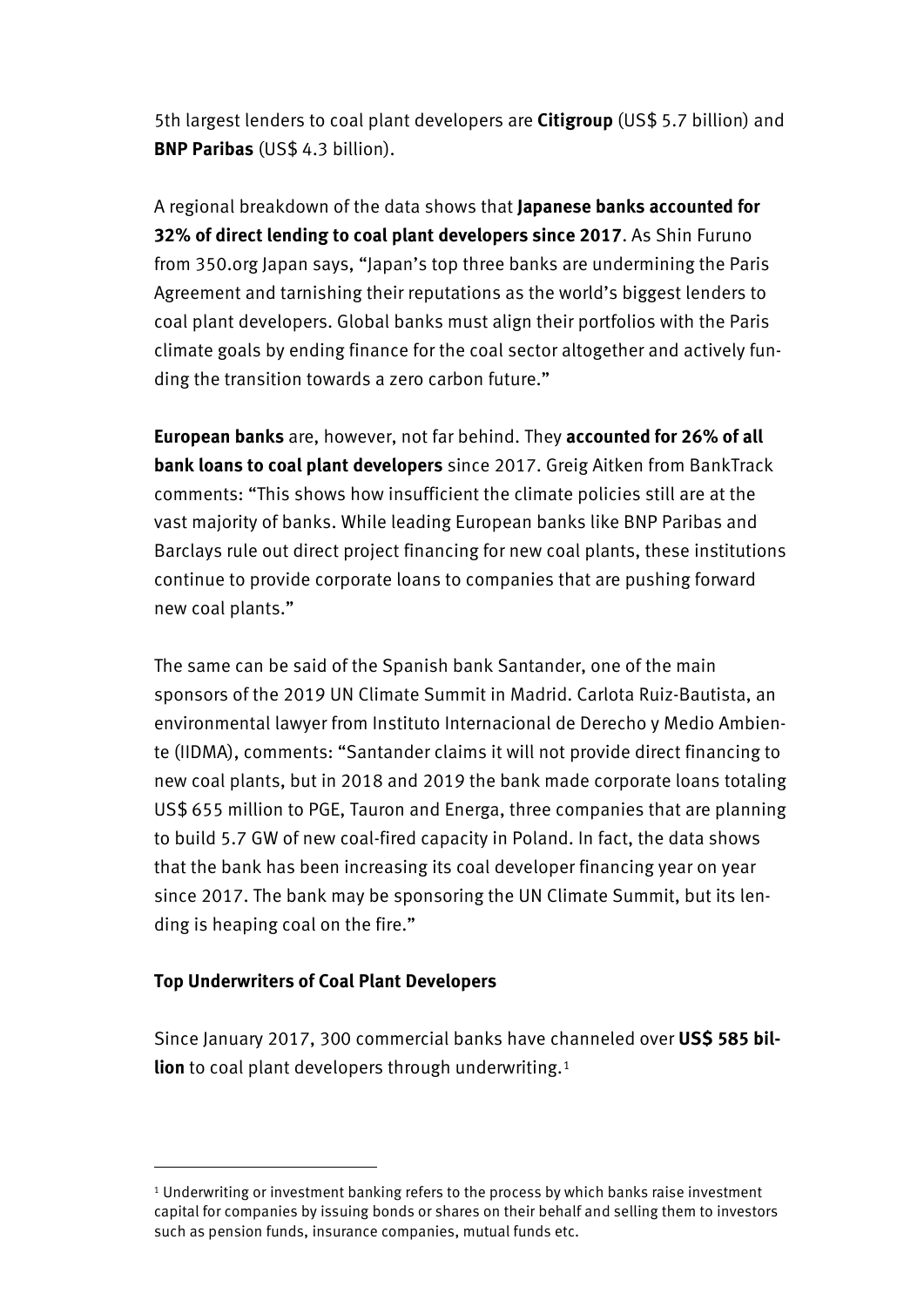5th largest lenders to coal plant developers are **Citigroup** (US\$ 5.7 billion) and **BNP Paribas** (US\$ 4.3 billion).

A regional breakdown of the data shows that **Japanese banks accounted for 32% of direct lending to coal plant developers since 2017**. As Shin Furuno from 350.org Japan says, "Japan's top three banks are undermining the Paris Agreement and tarnishing their reputations as the world's biggest lenders to coal plant developers. Global banks must align their portfolios with the Paris climate goals by ending finance for the coal sector altogether and actively funding the transition towards a zero carbon future."

**European banks** are, however, not far behind. They **accounted for 26% of all bank loans to coal plant developers** since 2017. Greig Aitken from BankTrack comments: "This shows how insufficient the climate policies still are at the vast majority of banks. While leading European banks like BNP Paribas and Barclays rule out direct project financing for new coal plants, these institutions continue to provide corporate loans to companies that are pushing forward new coal plants."

The same can be said of the Spanish bank Santander, one of the main sponsors of the 2019 UN Climate Summit in Madrid. Carlota Ruiz-Bautista, an environmental lawyer from Instituto Internacional de Derecho y Medio Ambiente (IIDMA), comments: "Santander claims it will not provide direct financing to new coal plants, but in 2018 and 2019 the bank made corporate loans totaling US\$ 655 million to PGE, Tauron and Energa, three companies that are planning to build 5.7 GW of new coal-fired capacity in Poland. In fact, the data shows that the bank has been increasing its coal developer financing year on year since 2017. The bank may be sponsoring the UN Climate Summit, but its lending is heaping coal on the fire."

## **Top Underwriters of Coal Plant Developers**

 $\overline{a}$ 

Since January 2017, 300 commercial banks have channeled over **US\$ 585 billion** to coal plant developers through underwriting.<sup>[1](#page-1-0)</sup>

<span id="page-1-0"></span><sup>1</sup> Underwriting or investment banking refers to the process by which banks raise investment capital for companies by issuing bonds or shares on their behalf and selling them to investors such as pension funds, insurance companies, mutual funds etc.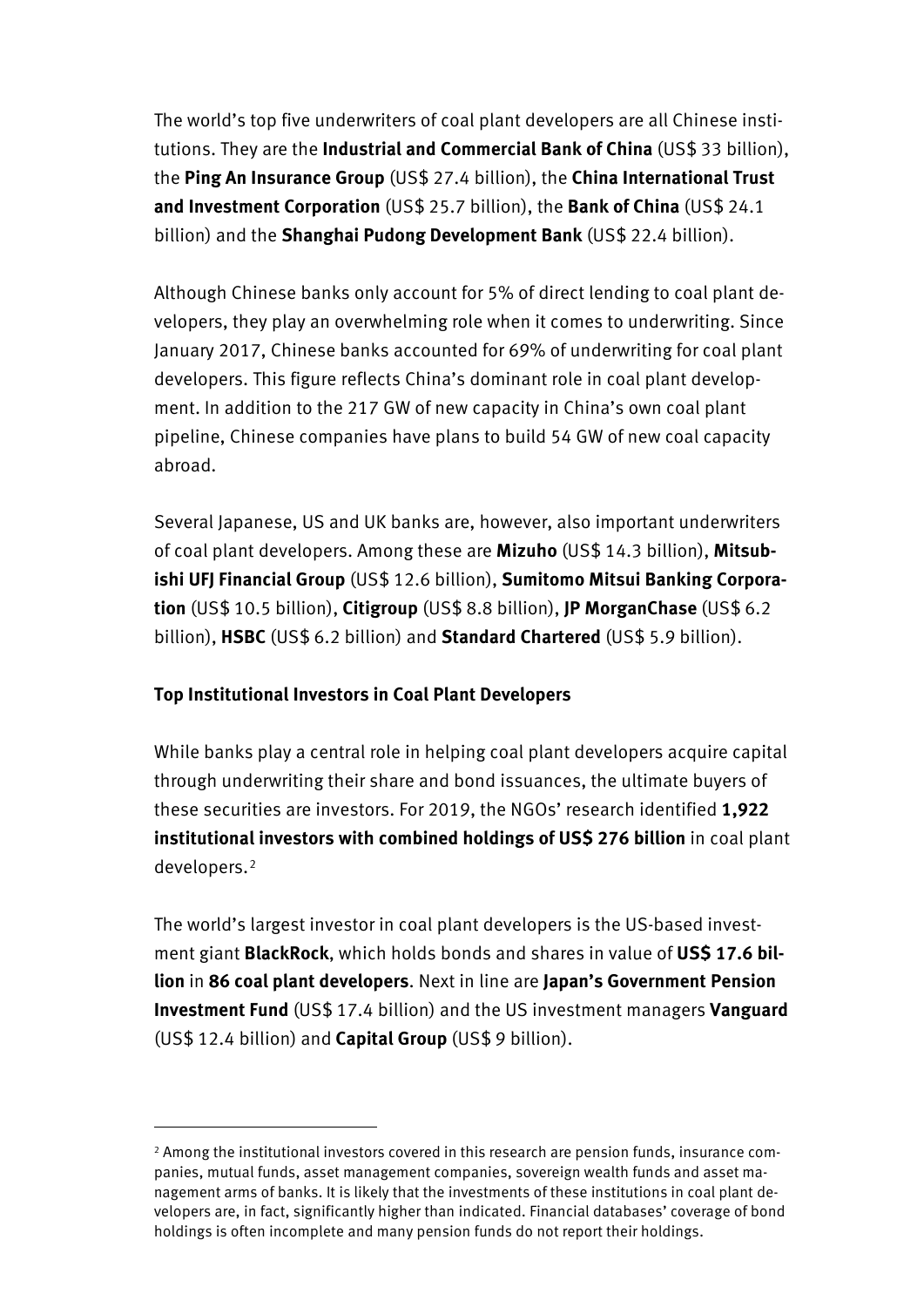The world's top five underwriters of coal plant developers are all Chinese institutions. They are the **Industrial and Commercial Bank of China** (US\$ 33 billion), the **Ping An Insurance Group** (US\$ 27.4 billion), the **China International Trust and Investment Corporation** (US\$ 25.7 billion), the **Bank of China** (US\$ 24.1 billion) and the **Shanghai Pudong Development Bank** (US\$ 22.4 billion).

Although Chinese banks only account for 5% of direct lending to coal plant developers, they play an overwhelming role when it comes to underwriting. Since January 2017, Chinese banks accounted for 69% of underwriting for coal plant developers. This figure reflects China's dominant role in coal plant development. In addition to the 217 GW of new capacity in China's own coal plant pipeline, Chinese companies have plans to build 54 GW of new coal capacity abroad.

Several Japanese, US and UK banks are, however, also important underwriters of coal plant developers. Among these are **Mizuho** (US\$ 14.3 billion), **Mitsubishi UFJ Financial Group** (US\$ 12.6 billion), **Sumitomo Mitsui Banking Corporation** (US\$ 10.5 billion), **Citigroup** (US\$ 8.8 billion), **JP MorganChase** (US\$ 6.2 billion), **HSBC** (US\$ 6.2 billion) and **Standard Chartered** (US\$ 5.9 billion).

# **Top Institutional Investors in Coal Plant Developers**

 $\overline{a}$ 

While banks play a central role in helping coal plant developers acquire capital through underwriting their share and bond issuances, the ultimate buyers of these securities are investors. For 2019, the NGOs' research identified **1,922 institutional investors with combined holdings of US\$ 276 billion** in coal plant developers.[2](#page-2-0)

The world's largest investor in coal plant developers is the US-based investment giant **BlackRock**, which holds bonds and shares in value of **US\$ 17.6 billion** in **86 coal plant developers**. Next in line are **Japan's Government Pension Investment Fund** (US\$ 17.4 billion) and the US investment managers **Vanguard** (US\$ 12.4 billion) and **Capital Group** (US\$ 9 billion).

<span id="page-2-0"></span><sup>2</sup> Among the institutional investors covered in this research are pension funds, insurance companies, mutual funds, asset management companies, sovereign wealth funds and asset management arms of banks. It is likely that the investments of these institutions in coal plant developers are, in fact, significantly higher than indicated. Financial databases' coverage of bond holdings is often incomplete and many pension funds do not report their holdings.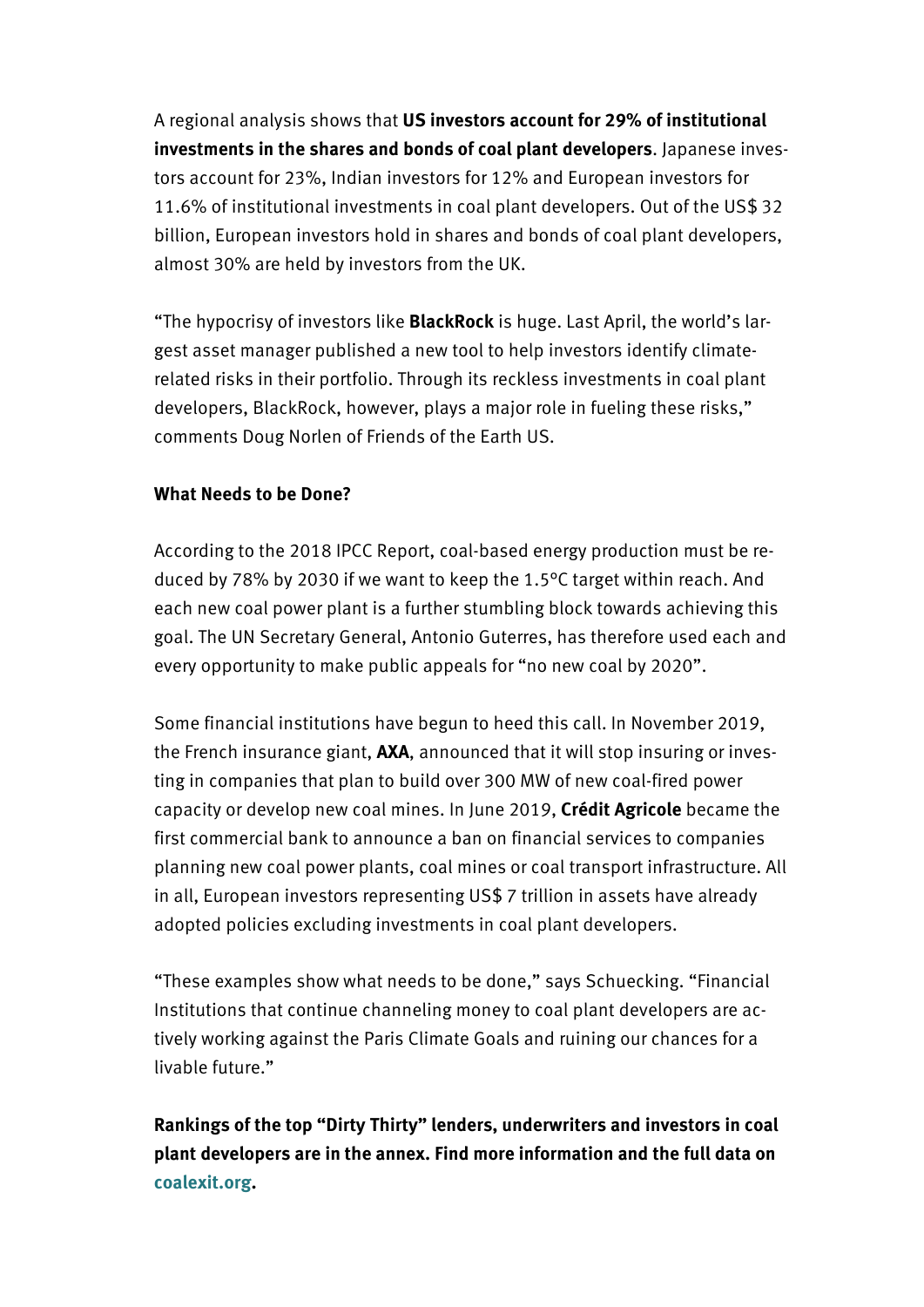A regional analysis shows that **US investors account for 29% of institutional investments in the shares and bonds of coal plant developers**. Japanese investors account for 23%, Indian investors for 12% and European investors for 11.6% of institutional investments in coal plant developers. Out of the US\$ 32 billion, European investors hold in shares and bonds of coal plant developers, almost 30% are held by investors from the UK.

"The hypocrisy of investors like **BlackRock** is huge. Last April, the world's largest asset manager published a new tool to help investors identify climaterelated risks in their portfolio. Through its reckless investments in coal plant developers, BlackRock, however, plays a major role in fueling these risks," comments Doug Norlen of Friends of the Earth US.

# **What Needs to be Done?**

According to the 2018 IPCC Report, coal-based energy production must be reduced by 78% by 2030 if we want to keep the 1.5°C target within reach. And each new coal power plant is a further stumbling block towards achieving this goal. The UN Secretary General, Antonio Guterres, has therefore used each and every opportunity to make public appeals for "no new coal by 2020".

Some financial institutions have begun to heed this call. In November 2019, the French insurance giant, **AXA**, announced that it will stop insuring or investing in companies that plan to build over 300 MW of new coal-fired power capacity or develop new coal mines. In June 2019, **Crédit Agricole** became the first commercial bank to announce a ban on financial services to companies planning new coal power plants, coal mines or coal transport infrastructure. All in all, European investors representing US\$ 7 trillion in assets have already adopted policies excluding investments in coal plant developers.

"These examples show what needs to be done," says Schuecking. "Financial Institutions that continue channeling money to coal plant developers are actively working against the Paris Climate Goals and ruining our chances for a livable future."

**Rankings of the top "Dirty Thirty" lenders, underwriters and investors in coal plant developers are in the annex. Find more information and the full data on [coalexit.org.](https://coalexit.org/)**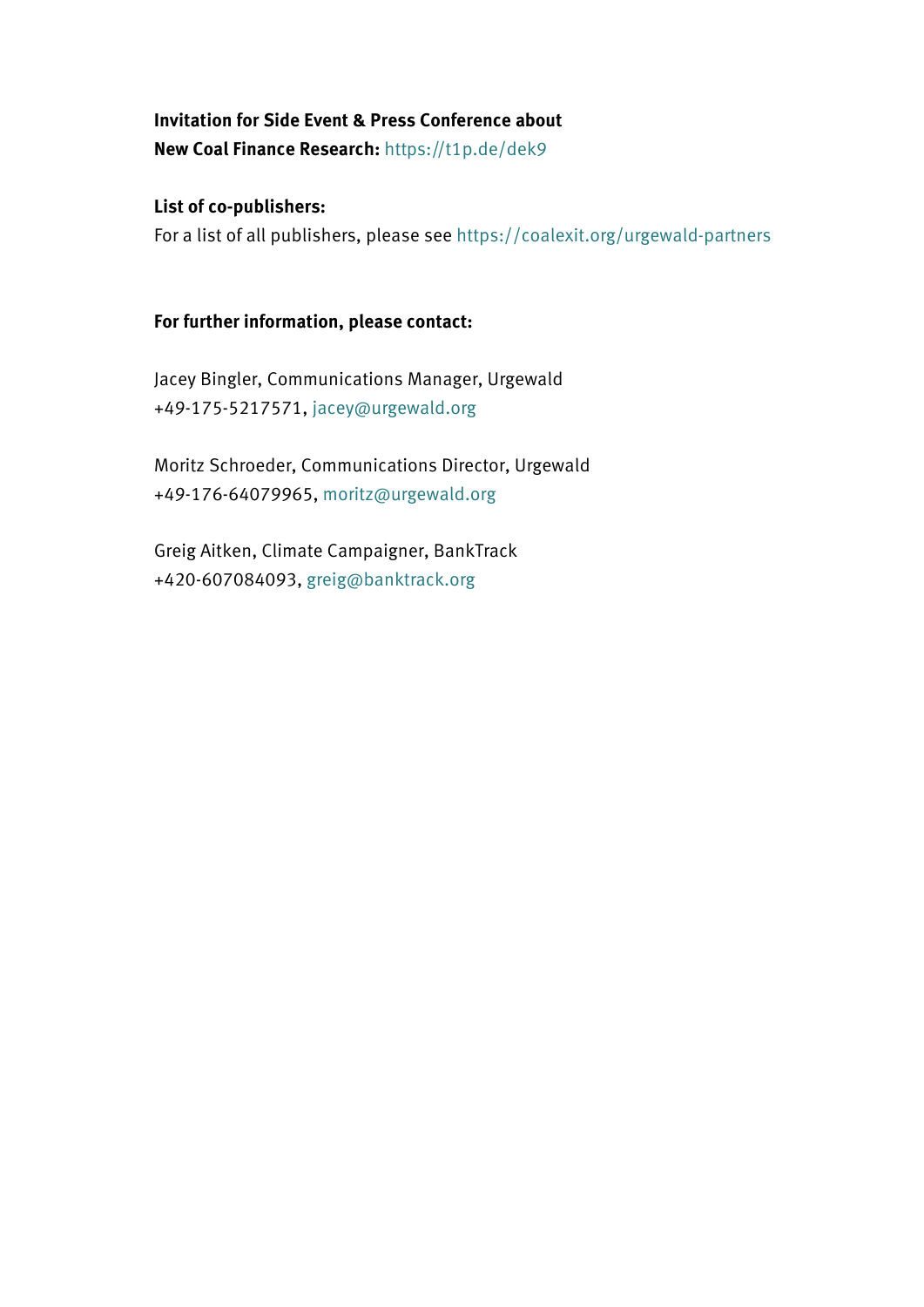**Invitation for Side Event & Press Conference about New Coal Finance Research:** <https://t1p.de/dek9>

**List of co-publishers:** For a list of all publishers, please see<https://coalexit.org/urgewald-partners>

# **For further information, please contact:**

Jacey Bingler, Communications Manager, Urgewald +49-175-5217571, [jacey@urgewald.org](mailto:jacey@urgewald.org)

Moritz Schroeder, Communications Director, Urgewald +49-176-64079965, [moritz@urgewald.org](mailto:moritz@urgewald.org)

Greig Aitken, Climate Campaigner, BankTrack +420-607084093, [greig@banktrack.org](mailto:greig@banktrack.org)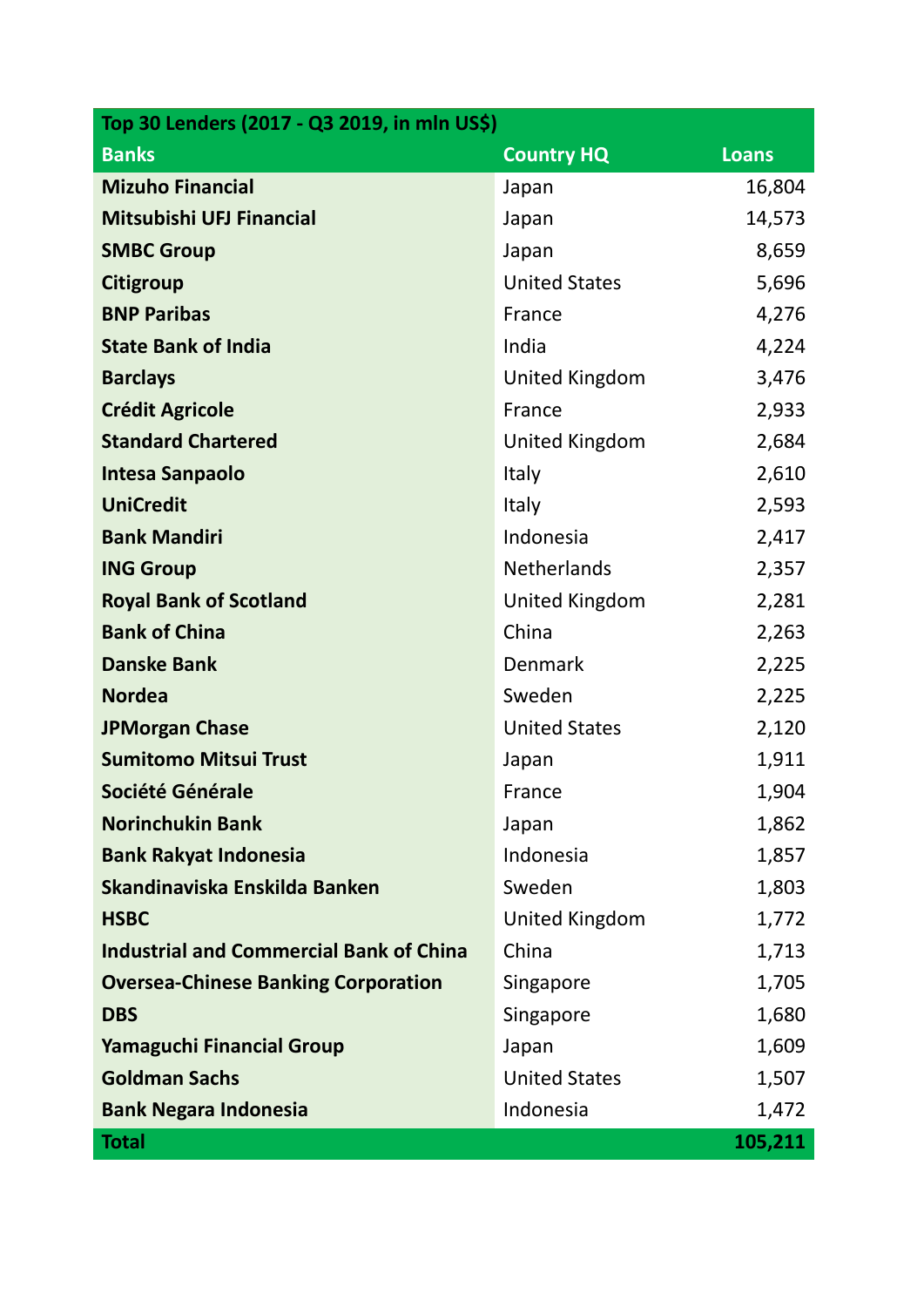| Top 30 Lenders (2017 - Q3 2019, in mln US\$)   |                       |              |  |  |  |  |
|------------------------------------------------|-----------------------|--------------|--|--|--|--|
| <b>Banks</b>                                   | <b>Country HQ</b>     | <b>Loans</b> |  |  |  |  |
| <b>Mizuho Financial</b>                        | Japan                 | 16,804       |  |  |  |  |
| Mitsubishi UFJ Financial                       | Japan                 | 14,573       |  |  |  |  |
| <b>SMBC Group</b>                              | Japan                 | 8,659        |  |  |  |  |
| <b>Citigroup</b>                               | <b>United States</b>  | 5,696        |  |  |  |  |
| <b>BNP Paribas</b>                             | France                | 4,276        |  |  |  |  |
| <b>State Bank of India</b>                     | India                 | 4,224        |  |  |  |  |
| <b>Barclays</b>                                | United Kingdom        | 3,476        |  |  |  |  |
| <b>Crédit Agricole</b>                         | France                | 2,933        |  |  |  |  |
| <b>Standard Chartered</b>                      | <b>United Kingdom</b> | 2,684        |  |  |  |  |
| Intesa Sanpaolo                                | Italy                 | 2,610        |  |  |  |  |
| <b>UniCredit</b>                               | Italy                 | 2,593        |  |  |  |  |
| <b>Bank Mandiri</b>                            | Indonesia             | 2,417        |  |  |  |  |
| <b>ING Group</b>                               | <b>Netherlands</b>    | 2,357        |  |  |  |  |
| <b>Royal Bank of Scotland</b>                  | United Kingdom        | 2,281        |  |  |  |  |
| <b>Bank of China</b>                           | China                 | 2,263        |  |  |  |  |
| <b>Danske Bank</b>                             | Denmark               | 2,225        |  |  |  |  |
| <b>Nordea</b>                                  | Sweden                | 2,225        |  |  |  |  |
| <b>JPMorgan Chase</b>                          | <b>United States</b>  | 2,120        |  |  |  |  |
| <b>Sumitomo Mitsui Trust</b>                   | Japan                 | 1,911        |  |  |  |  |
| Société Générale                               | France                | 1,904        |  |  |  |  |
| <b>Norinchukin Bank</b>                        | Japan                 | 1,862        |  |  |  |  |
| <b>Bank Rakyat Indonesia</b>                   | Indonesia             | 1,857        |  |  |  |  |
| Skandinaviska Enskilda Banken                  | Sweden                | 1,803        |  |  |  |  |
| <b>HSBC</b>                                    | <b>United Kingdom</b> | 1,772        |  |  |  |  |
| <b>Industrial and Commercial Bank of China</b> | China                 | 1,713        |  |  |  |  |
| <b>Oversea-Chinese Banking Corporation</b>     | Singapore             | 1,705        |  |  |  |  |
| <b>DBS</b>                                     | Singapore             | 1,680        |  |  |  |  |
| <b>Yamaguchi Financial Group</b>               | Japan                 | 1,609        |  |  |  |  |
| <b>Goldman Sachs</b>                           | <b>United States</b>  | 1,507        |  |  |  |  |
| <b>Bank Negara Indonesia</b>                   | Indonesia             | 1,472        |  |  |  |  |
| <b>Total</b>                                   |                       | 105,211      |  |  |  |  |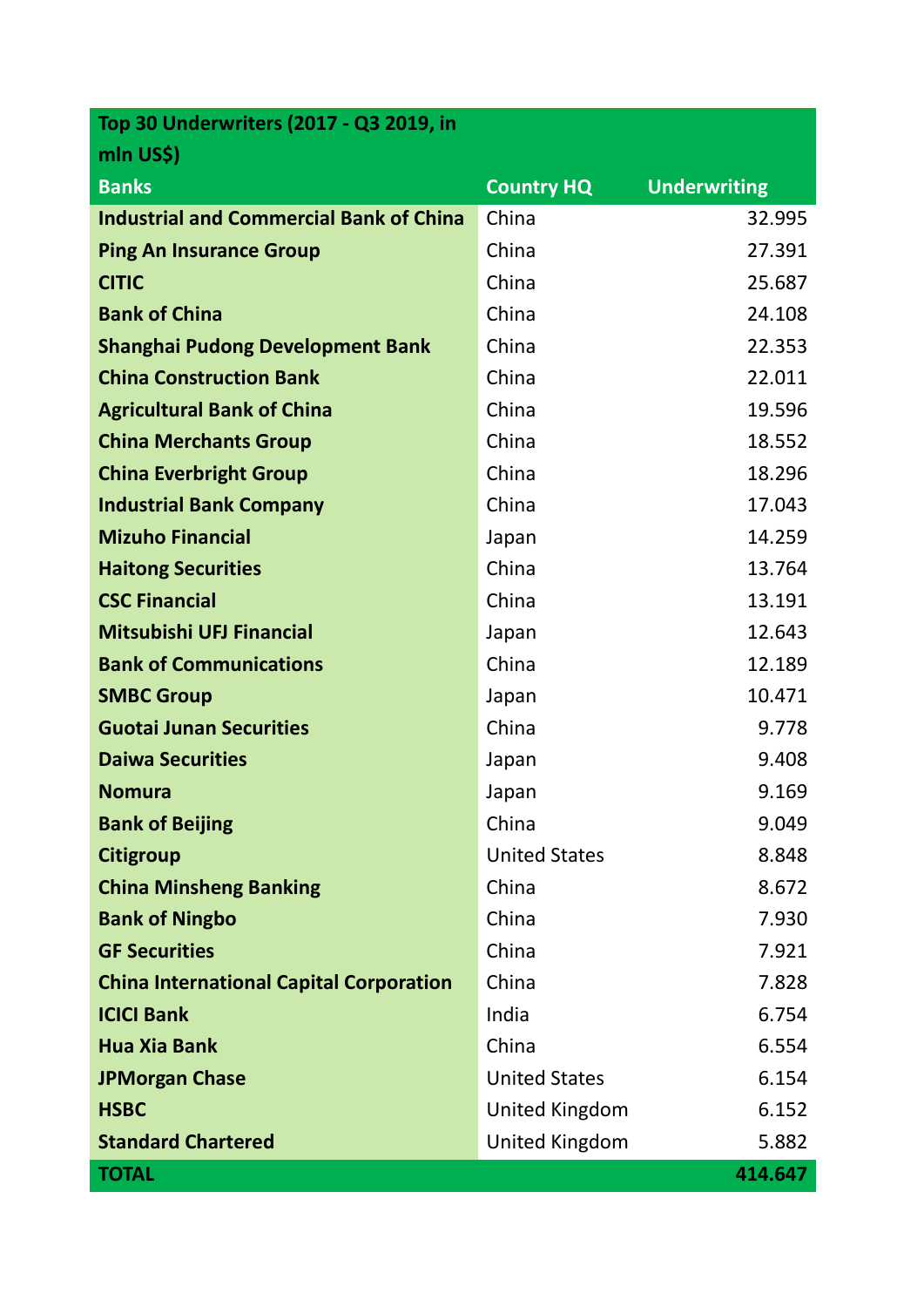| Top 30 Underwriters (2017 - Q3 2019, in        |                       |                     |
|------------------------------------------------|-----------------------|---------------------|
| mln US\$)                                      |                       |                     |
| <b>Banks</b>                                   | <b>Country HQ</b>     | <b>Underwriting</b> |
| <b>Industrial and Commercial Bank of China</b> | China                 | 32.995              |
| <b>Ping An Insurance Group</b>                 | China                 | 27.391              |
| <b>CITIC</b>                                   | China                 | 25.687              |
| <b>Bank of China</b>                           | China                 | 24.108              |
| <b>Shanghai Pudong Development Bank</b>        | China                 | 22.353              |
| <b>China Construction Bank</b>                 | China                 | 22.011              |
| <b>Agricultural Bank of China</b>              | China                 | 19.596              |
| <b>China Merchants Group</b>                   | China                 | 18.552              |
| <b>China Everbright Group</b>                  | China                 | 18.296              |
| <b>Industrial Bank Company</b>                 | China                 | 17.043              |
| <b>Mizuho Financial</b>                        | Japan                 | 14.259              |
| <b>Haitong Securities</b>                      | China                 | 13.764              |
| <b>CSC Financial</b>                           | China                 | 13.191              |
| <b>Mitsubishi UFJ Financial</b>                | Japan                 | 12.643              |
| <b>Bank of Communications</b>                  | China                 | 12.189              |
| <b>SMBC Group</b>                              | Japan                 | 10.471              |
| <b>Guotai Junan Securities</b>                 | China                 | 9.778               |
| <b>Daiwa Securities</b>                        | Japan                 | 9.408               |
| <b>Nomura</b>                                  | Japan                 | 9.169               |
| <b>Bank of Beijing</b>                         | China                 | 9.049               |
| <b>Citigroup</b>                               | <b>United States</b>  | 8.848               |
| <b>China Minsheng Banking</b>                  | China                 | 8.672               |
| <b>Bank of Ningbo</b>                          | China                 | 7.930               |
| <b>GF Securities</b>                           | China                 | 7.921               |
| <b>China International Capital Corporation</b> | China                 | 7.828               |
| <b>ICICI Bank</b>                              | India                 | 6.754               |
| <b>Hua Xia Bank</b>                            | China                 | 6.554               |
| <b>JPMorgan Chase</b>                          | <b>United States</b>  | 6.154               |
| <b>HSBC</b>                                    | <b>United Kingdom</b> | 6.152               |
| <b>Standard Chartered</b>                      | <b>United Kingdom</b> | 5.882               |
| <b>TOTAL</b>                                   |                       | 414.647             |